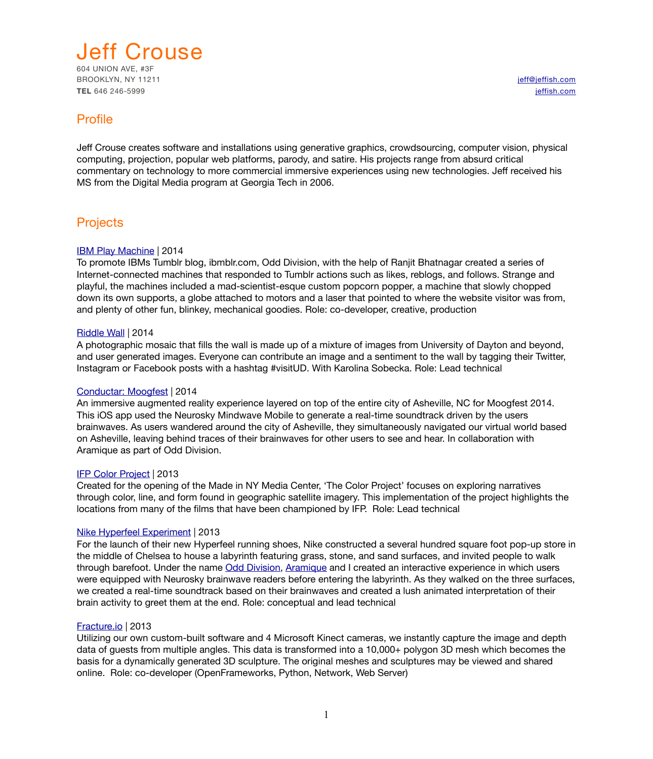

**TEL** 646 246-5999 **[jeffish.com](http://jeffish.com)** 

# Profile

Jeff Crouse creates software and installations using generative graphics, crowdsourcing, computer vision, physical computing, projection, popular web platforms, parody, and satire. His projects range from absurd critical commentary on technology to more commercial immersive experiences using new technologies. Jeff received his MS from the Digital Media program at Georgia Tech in 2006.

# **Projects**

### [IBM Play Machine](http://jeffish.com/projects/play-machine.html) | 2014

To promote IBMs Tumblr blog, ibmblr.com, Odd Division, with the help of Ranjit Bhatnagar created a series of Internet-connected machines that responded to Tumblr actions such as likes, reblogs, and follows. Strange and playful, the machines included a mad-scientist-esque custom popcorn popper, a machine that slowly chopped down its own supports, a globe attached to motors and a laser that pointed to where the website visitor was from, and plenty of other fun, blinkey, mechanical goodies. Role: co-developer, creative, production

### [Riddle Wall](http://jeffish.com/projects/riddle-wall.html) | 2014

A photographic mosaic that fills the wall is made up of a mixture of images from University of Dayton and beyond, and user generated images. Everyone can contribute an image and a sentiment to the wall by tagging their Twitter, Instagram or Facebook posts with a hashtag #visitUD. With Karolina Sobecka. Role: Lead technical

#### [Conductar: Moogfest](http://conductar.com) | 2014

An immersive augmented reality experience layered on top of the entire city of Asheville, NC for Moogfest 2014. This iOS app used the Neurosky Mindwave Mobile to generate a real-time soundtrack driven by the users brainwaves. As users wandered around the city of Asheville, they simultaneously navigated our virtual world based on Asheville, leaving behind traces of their brainwaves for other users to see and hear. In collaboration with Aramique as part of Odd Division.

#### [IFP Color Project](http://www.jeff-crouse.com/project/ifp-color-project.html) | 2013

Created for the opening of the Made in NY Media Center, 'The Color Project' focuses on exploring narratives through color, line, and form found in geographic satellite imagery. This implementation of the project highlights the locations from many of the films that have been championed by IFP. Role: Lead technical

#### [Nike Hyperfeel Experiment](http://www.coolhunting.com/tech/nike-art-science-of-feeling-hyperfeel-nyc.php) | 2013

For the launch of their new Hyperfeel running shoes, Nike constructed a several hundred square foot pop-up store in the middle of Chelsea to house a labyrinth featuring grass, stone, and sand surfaces, and invited people to walk through barefoot. Under the name [Odd Division,](http://odddivision.com/) [Aramique](http://aramique.com/) and I created an interactive experience in which users were equipped with Neurosky brainwave readers before entering the labyrinth. As they walked on the three surfaces, we created a real-time soundtrack based on their brainwaves and created a lush animated interpretation of their brain activity to greet them at the end. Role: conceptual and lead technical

#### [Fracture.io](http://fracture.io/) | 2013

Utilizing our own custom-built software and 4 Microsoft Kinect cameras, we instantly capture the image and depth data of quests from multiple angles. This data is transformed into a 10,000+ polygon 3D mesh which becomes the basis for a dynamically generated 3D sculpture. The original meshes and sculptures may be viewed and shared online. Role: co-developer (OpenFrameworks, Python, Network, Web Server)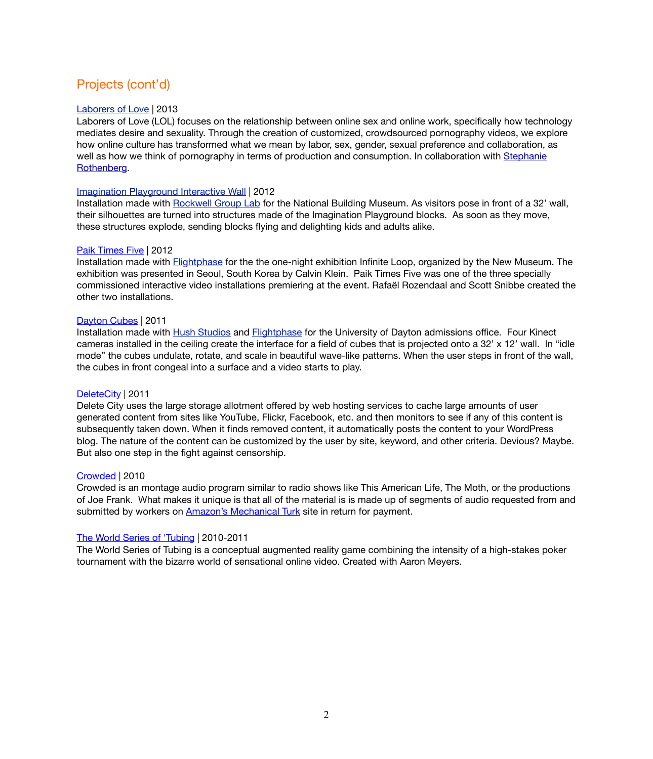# Projects (cont'd)

#### [Laborers of Love](http://laborersoflove.com/about/) | 2013

Laborers of Love (LOL) focuses on the relationship between online sex and online work, specifically how technology mediates desire and sexuality. Through the creation of customized, crowdsourced pornography videos, we explore how online culture has transformed what we mean by labor, sex, gender, sexual preference and collaboration, as well as how we think of pornography in terms of production and consumption. In collaboration with Stephanie Rothenberg.

#### [Imagination Playground Interactive Wall](http://www.jeffcrouse.info/project/imagination_playground.html) | 2012

Installation made with [Rockwell Group Lab](http://www.flightphase.com/) for the National Building Museum. As visitors pose in front of a 32' wall, their silhouettes are turned into structures made of the Imagination Playground blocks. As soon as they move, these structures explode, sending blocks flying and delighting kids and adults alike.

#### [Paik Times Five](http://www.flightphase.com/main_wp/expanded-media/paik-times-five) | 2012

Installation made with [Flightphase](http://www.flightphase.com/) for the the one-night exhibition Infinite Loop, organized by the New Museum. The exhibition was presented in Seoul, South Korea by Calvin Klein. Paik Times Five was one of the three specially commissioned interactive video installations premiering at the event. Rafaël Rozendaal and Scott Snibbe created the other two installations.

#### [Dayton Cubes](http://www.jeffcrouse.info/projects/dayton-cubes/) | 2011

Installation made with [Hush Studios](http://www.heyhush.com/) and [Flightphase](http://www.flightphase.com/) for the University of Dayton admissions office. Four Kinect cameras installed in the ceiling create the interface for a field of cubes that is projected onto a 32' x 12' wall. In "idle mode" the cubes undulate, rotate, and scale in beautiful wave-like patterns. When the user steps in front of the wall, the cubes in front congeal into a surface and a video starts to play.

### [DeleteCity](http://www.jeffcrouse.info/projects/delete-city/) | 2011

Delete City uses the large storage allotment offered by web hosting services to cache large amounts of user generated content from sites like YouTube, Flickr, Facebook, etc. and then monitors to see if any of this content is subsequently taken down. When it finds removed content, it automatically posts the content to your WordPress blog. The nature of the content can be customized by the user by site, keyword, and other criteria. Devious? Maybe. But also one step in the fight against censorship.

#### [Crowded](http://www.jeffcrouse.info/projects/crowded/) | 2010

Crowded is an montage audio program similar to radio shows like This American Life, The Moth, or the productions of Joe Frank. What makes it unique is that all of the material is is made up of segments of audio requested from and submitted by workers on [Amazon's Mechanical Turk](http://en.wikipedia.org/wiki/Amazon_Mechanical_Turk) site in return for payment.

#### [The World Series of 'Tubing](http://www.jeffcrouse.info/projects/the-world-series-of-tubing/) | 2010-2011

The World Series of Tubing is a conceptual augmented reality game combining the intensity of a high-stakes poker tournament with the bizarre world of sensational online video. Created with Aaron Meyers.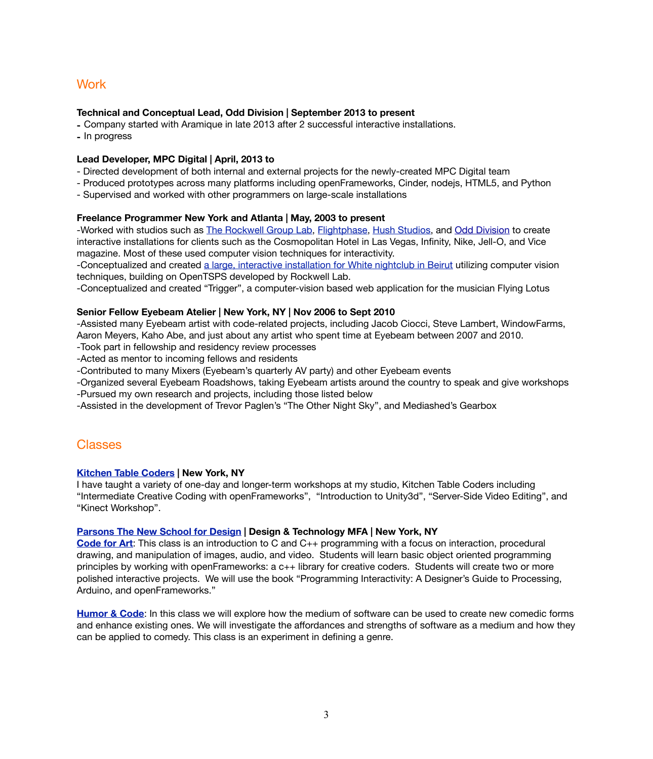# **Work**

### **Technical and Conceptual Lead, Odd Division | September 2013 to present**

- **-** Company started with Aramique in late 2013 after 2 successful interactive installations.
- **-** In progress

#### **Lead Developer, MPC Digital | April, 2013 to**

- Directed development of both internal and external projects for the newly-created MPC Digital team
- Produced prototypes across many platforms including openFrameworks, Cinder, nodejs, HTML5, and Python
- Supervised and worked with other programmers on large-scale installations

### **Freelance Programmer New York and Atlanta | May, 2003 to present**

-Worked with studios such as [The Rockwell Group Lab,](http://lab.rockwellgroup.com/) [Flightphase,](http://www.flightphase.com/) [Hush Studios,](http://heyhush.com/) and [Odd Division](http://odddivision.com/) to create interactive installations for clients such as the Cosmopolitan Hotel in Las Vegas, Infinity, Nike, Jell-O, and Vice magazine. Most of these used computer vision techniques for interactivity.

-Conceptualized and created [a large, interactive installation for White nightclub in Beirut](http://ayahbdeir.com/index.php?/commissions/white---source-companion/) utilizing computer vision techniques, building on OpenTSPS developed by Rockwell Lab.

-Conceptualized and created "Trigger", a computer-vision based web application for the musician Flying Lotus

### **Senior Fellow Eyebeam Atelier | New York, NY | Nov 2006 to Sept 2010**

-Assisted many Eyebeam artist with code-related projects, including Jacob Ciocci, Steve Lambert, WindowFarms, Aaron Meyers, Kaho Abe, and just about any artist who spent time at Eyebeam between 2007 and 2010.

-Took part in fellowship and residency review processes

-Acted as mentor to incoming fellows and residents

-Contributed to many Mixers (Eyebeam's quarterly AV party) and other Eyebeam events

-Organized several Eyebeam Roadshows, taking Eyebeam artists around the country to speak and give workshops -Pursued my own research and projects, including those listed below

-Assisted in the development of Trevor Paglen's "The Other Night Sky", and Mediashed's Gearbox

# Classes

### **[Kitchen Table Coders](http://kitchentablecoders.com/) | New York, NY**

I have taught a variety of one-day and longer-term workshops at my studio, Kitchen Table Coders including "Intermediate Creative Coding with openFrameworks", "Introduction to Unity3d", "Server-Side Video Editing", and "Kinect Workshop".

#### **[Parsons The New School for Design](http://www.newschool.edu/parsons/mfa-design-technology/) | Design & Technology MFA | New York, NY**

**[Code for Art](http://www.codeforart.cc/)**: This class is an introduction to C and C++ programming with a focus on interaction, procedural drawing, and manipulation of images, audio, and video. Students will learn basic object oriented programming principles by working with openFrameworks: a c++ library for creative coders. Students will create two or more polished interactive projects. We will use the book "Programming Interactivity: A Designer's Guide to Processing, Arduino, and openFrameworks."

**[Humor & Code](http://humorandcode.com/)**: In this class we will explore how the medium of software can be used to create new comedic forms and enhance existing ones. We will investigate the affordances and strengths of software as a medium and how they can be applied to comedy. This class is an experiment in defining a genre.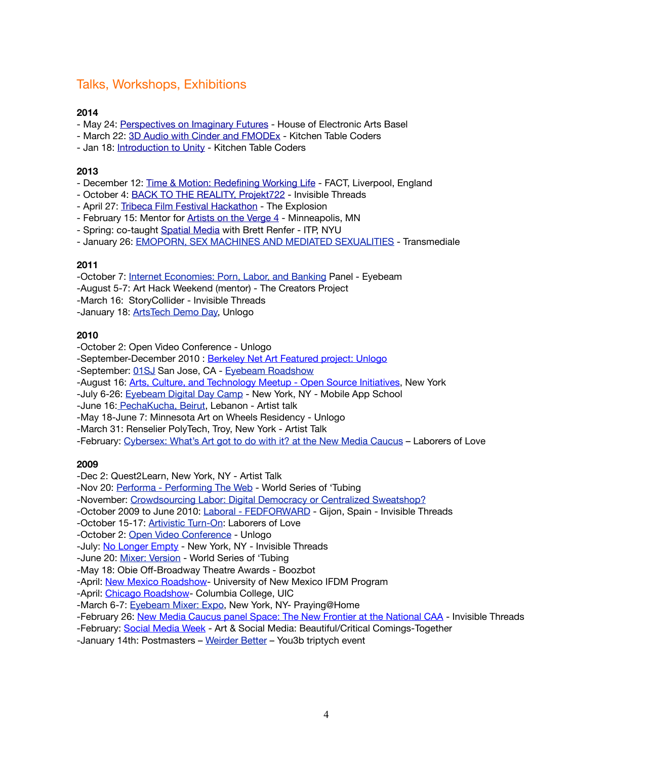# Talks, Workshops, Exhibitions

## **2014**

- May 24: [Perspectives on Imaginary Futures](http://www.haus-ek.org/en/node/883)  House of Electronic Arts Basel
- March 22: [3D Audio with Cinder and FMODEx](http://kitchentablecoders.com/class/2014/03/22/fmod-cinder/)  Kitchen Table Coders
- Jan 18: [Introduction to Unity](http://kitchentablecoders.com/class/2014/01/18/intro-to-unity/) Kitchen Table Coders

# **2013**

- December 12: [Time & Motion: Redefining Working Life](http://www.fact.co.uk/projects/time-motion-redefining-working-life/stephanie-rothenberg-and-jeff-crouse-laborers-of-love/)  FACT, Liverpool, England
- October 4: [BACK TO THE REALITY, Projekt722](http://www.projekt722.com/exhibitions/reality/) Invisible Threads
- April 27: [Tribeca Film Festival Hackathon](https://tribecafilminstitute.org/blog/category/tribeca_hacks)  The Explosion
- February 15: Mentor for [Artists on the Verge 4](http://northern.lights.mn/projects/artists-on-the-verge/artists-on-the-verge-4-fellows/)  Minneapolis, MN
- Spring: co-taught [Spatial Media](http://itp-spatialmedia.tumblr.com/) with Brett Renfer ITP, NYU
- January 26: [EMOPORN, SEX MACHINES AND MEDIATED SEXUALITIES](http://www.transmediale.de/node/22817/)  Transmediale

## **2011**

- -October 7: [Internet Economies: Porn, Labor, and Banking](http://www.eyebeam.org/events/internet-economies-porn-labor-and-banking) Panel Eyebeam
- -August 5-7: Art Hack Weekend (mentor) The Creators Project
- -March 16: StoryCollider Invisible Threads
- -January 18: [ArtsTech Demo Day,](http://www.meetup.com/Arts-Culture-and-Technology/events/15902512/) Unlogo

## **2010**

- -October 2: Open Video Conference Unlogo
- -September-December 2010 : [Berkeley Net Art Featured project: Unlogo](http://netart.bampfa.berkeley.edu/)
- -September: [01SJ](http://01sj.org/) San Jose, CA - [Eyebeam Roadshow](http://01sj.org/2010/artworks/eyebeam-roadshow/)
- -August 16: [Arts, Culture, and Technology Meetup Open Source Initiatives,](http://www.meetup.com/Arts-Culture-and-Technology/calendar/14237874/) New York
- -July 6-26: [Eyebeam Digital Day Camp](http://eyebeam.org/events/digital-day-camp-2010)  New York, NY Mobile App School
- -June 16[: PechaKucha, Beirut](http://www.pecha-kucha.org/night/beirut/8), Lebanon Artist talk
- -May 18-June 7: Minnesota Art on Wheels Residency Unlogo
- -March 31: Renselier PolyTech, Troy, New York Artist Talk
- -February: [Cybersex: What's Art got to do with it? at the New Media Caucus](http://www.newmediacaucus.org/) Laborers of Love

## **2009**

- -Dec 2: Quest2Learn, New York, NY Artist Talk
- -Nov 20: [Performa Performing The Web](http://eyebeam.org/events/performing-the-web-jodi-and-jeff-crouse-aaron-meyers) World Series of 'Tubing
- -November: [Crowdsourcing Labor: Digital Democracy or Centralized Sweatshop?](http://thechangeyouwanttosee.com/event/crowdsourcing-labor-distributed-democracy-or-centralized-sweatshop)
- -October 2009 to June 2010: [Laboral FEDFORWARD](http://www.laboralcentrodearte.org/en/exposiciones/feedforward.-el-angel-de-la-historia) Gijon, Spain Invisible Threads
- -October 15-17: **Artivistic Turn-On: Laborers of Love**
- -October 2: [Open Video Conference](http://www.openvideoconference.org/) Unlogo
- -July: [No Longer Empty](http://www.nolongerempty.com/) New York, NY Invisible Threads
- -June 20: [Mixer: Version](http://eyebeam.org/events/mixer-version) World Series of 'Tubing
- -May 18: Obie Off-Broadway Theatre Awards Boozbot
- -April: [New Mexico Roadshow](http://roadshow.eyebeam.org/) University of New Mexico IFDM Program
- -April: [Chicago Roadshow-](http://roadshow.eyebeam.org/) Columbia College, UIC
- -March 6-7: [Eyebeam Mixer: Expo,](http://eyebeam.org/events/mixer-expo) New York, NY- Praying@Home
- -February 26: [New Media Caucus panel Space: The New Frontier at the National CAA](http://www.bostoncyberarts.net/profiles/blogs/exhibition-in-la-and-second)  Invisible Threads
- -February: [Social Media Week](http://socialmediaweek.tumblr.com/post/78945302/monday-art-social-media-beautiful-critical)  Art & Social Media: Beautiful/Critical Comings-Together
- -January 14th: Postmasters [Weirder Better](http://data.tumblr.com/fRFjbBHIBiimjmllg2ulthpio1_400.jpg) You3b triptych event